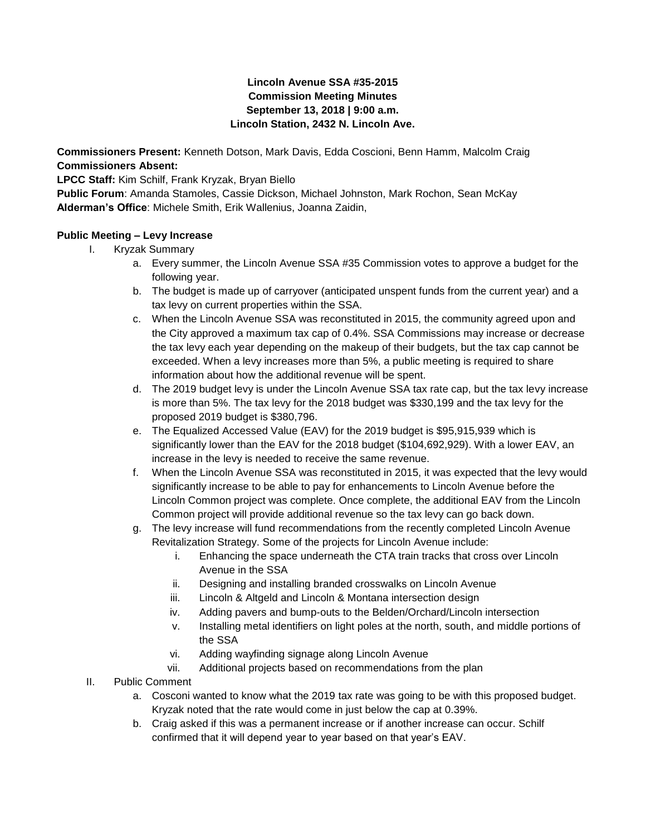# **Lincoln Avenue SSA #35-2015 Commission Meeting Minutes September 13, 2018 | 9:00 a.m. Lincoln Station, 2432 N. Lincoln Ave.**

**Commissioners Present:** Kenneth Dotson, Mark Davis, Edda Coscioni, Benn Hamm, Malcolm Craig **Commissioners Absent:**

**LPCC Staff:** Kim Schilf, Frank Kryzak, Bryan Biello

**Public Forum**: Amanda Stamoles, Cassie Dickson, Michael Johnston, Mark Rochon, Sean McKay **Alderman's Office**: Michele Smith, Erik Wallenius, Joanna Zaidin,

## **Public Meeting – Levy Increase**

- I. Kryzak Summary
	- a. Every summer, the Lincoln Avenue SSA #35 Commission votes to approve a budget for the following year.
	- b. The budget is made up of carryover (anticipated unspent funds from the current year) and a tax levy on current properties within the SSA.
	- c. When the Lincoln Avenue SSA was reconstituted in 2015, the community agreed upon and the City approved a maximum tax cap of 0.4%. SSA Commissions may increase or decrease the tax levy each year depending on the makeup of their budgets, but the tax cap cannot be exceeded. When a levy increases more than 5%, a public meeting is required to share information about how the additional revenue will be spent.
	- d. The 2019 budget levy is under the Lincoln Avenue SSA tax rate cap, but the tax levy increase is more than 5%. The tax levy for the 2018 budget was \$330,199 and the tax levy for the proposed 2019 budget is \$380,796.
	- e. The Equalized Accessed Value (EAV) for the 2019 budget is \$95,915,939 which is significantly lower than the EAV for the 2018 budget (\$104,692,929). With a lower EAV, an increase in the levy is needed to receive the same revenue.
	- f. When the Lincoln Avenue SSA was reconstituted in 2015, it was expected that the levy would significantly increase to be able to pay for enhancements to Lincoln Avenue before the Lincoln Common project was complete. Once complete, the additional EAV from the Lincoln Common project will provide additional revenue so the tax levy can go back down.
	- g. The levy increase will fund recommendations from the recently completed Lincoln Avenue Revitalization Strategy. Some of the projects for Lincoln Avenue include:
		- i. Enhancing the space underneath the CTA train tracks that cross over Lincoln Avenue in the SSA
		- ii. Designing and installing branded crosswalks on Lincoln Avenue
		- iii. Lincoln & Altgeld and Lincoln & Montana intersection design
		- iv. Adding pavers and bump-outs to the Belden/Orchard/Lincoln intersection
		- v. Installing metal identifiers on light poles at the north, south, and middle portions of the SSA
		- vi. Adding wayfinding signage along Lincoln Avenue
		- vii. Additional projects based on recommendations from the plan
- II. Public Comment
	- a. Cosconi wanted to know what the 2019 tax rate was going to be with this proposed budget. Kryzak noted that the rate would come in just below the cap at 0.39%.
	- b. Craig asked if this was a permanent increase or if another increase can occur. Schilf confirmed that it will depend year to year based on that year's EAV.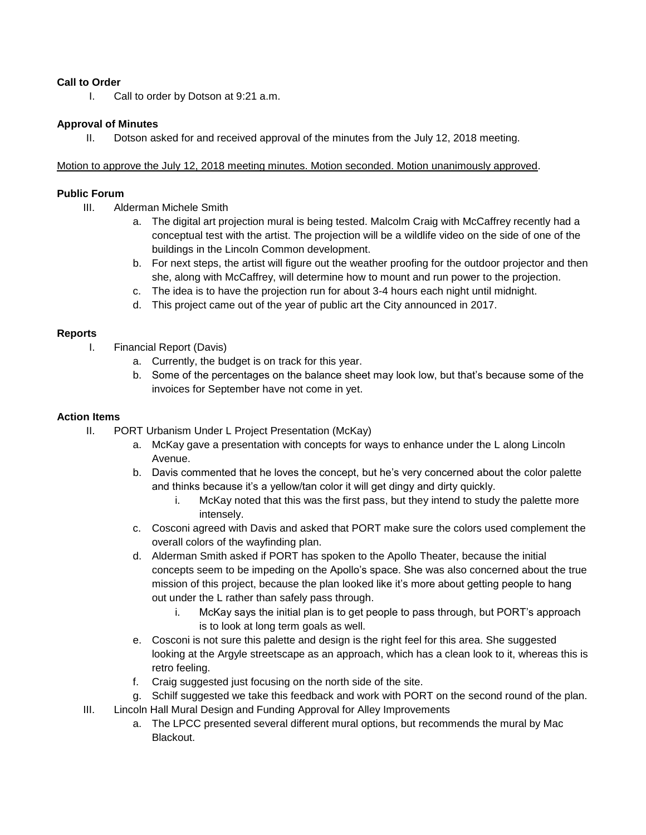## **Call to Order**

I. Call to order by Dotson at 9:21 a.m.

## **Approval of Minutes**

II. Dotson asked for and received approval of the minutes from the July 12, 2018 meeting.

#### Motion to approve the July 12, 2018 meeting minutes. Motion seconded. Motion unanimously approved.

## **Public Forum**

- III. Alderman Michele Smith
	- a. The digital art projection mural is being tested. Malcolm Craig with McCaffrey recently had a conceptual test with the artist. The projection will be a wildlife video on the side of one of the buildings in the Lincoln Common development.
	- b. For next steps, the artist will figure out the weather proofing for the outdoor projector and then she, along with McCaffrey, will determine how to mount and run power to the projection.
	- c. The idea is to have the projection run for about 3-4 hours each night until midnight.
	- d. This project came out of the year of public art the City announced in 2017.

#### **Reports**

- I. Financial Report (Davis)
	- a. Currently, the budget is on track for this year.
	- b. Some of the percentages on the balance sheet may look low, but that's because some of the invoices for September have not come in yet.

## **Action Items**

- II. PORT Urbanism Under L Project Presentation (McKay)
	- a. McKay gave a presentation with concepts for ways to enhance under the L along Lincoln Avenue.
	- b. Davis commented that he loves the concept, but he's very concerned about the color palette and thinks because it's a yellow/tan color it will get dingy and dirty quickly.
		- i. McKay noted that this was the first pass, but they intend to study the palette more intensely.
	- c. Cosconi agreed with Davis and asked that PORT make sure the colors used complement the overall colors of the wayfinding plan.
	- d. Alderman Smith asked if PORT has spoken to the Apollo Theater, because the initial concepts seem to be impeding on the Apollo's space. She was also concerned about the true mission of this project, because the plan looked like it's more about getting people to hang out under the L rather than safely pass through.
		- i. McKay says the initial plan is to get people to pass through, but PORT's approach is to look at long term goals as well.
	- e. Cosconi is not sure this palette and design is the right feel for this area. She suggested looking at the Argyle streetscape as an approach, which has a clean look to it, whereas this is retro feeling.
	- f. Craig suggested just focusing on the north side of the site.
- g. Schilf suggested we take this feedback and work with PORT on the second round of the plan. III. Lincoln Hall Mural Design and Funding Approval for Alley Improvements
	- a. The LPCC presented several different mural options, but recommends the mural by Mac Blackout.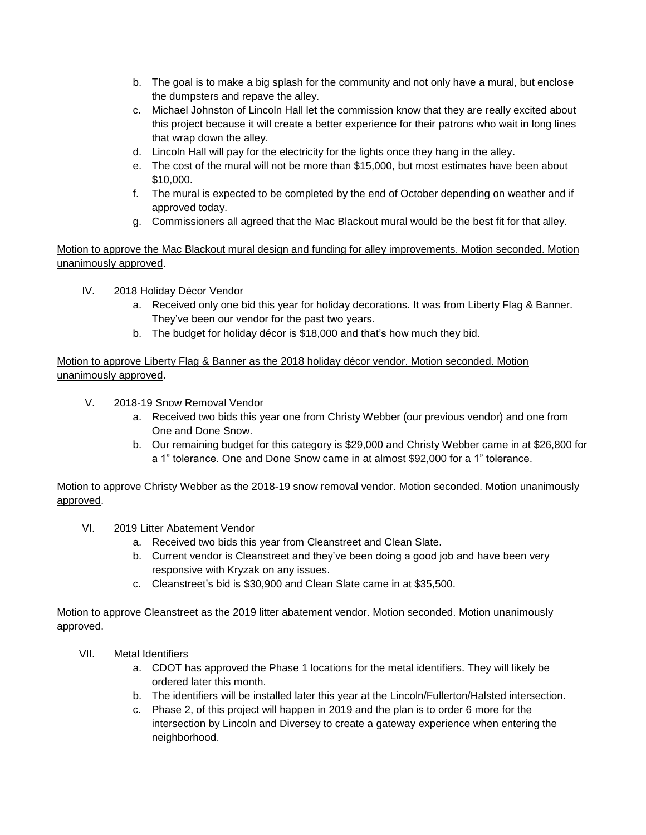- b. The goal is to make a big splash for the community and not only have a mural, but enclose the dumpsters and repave the alley.
- c. Michael Johnston of Lincoln Hall let the commission know that they are really excited about this project because it will create a better experience for their patrons who wait in long lines that wrap down the alley.
- d. Lincoln Hall will pay for the electricity for the lights once they hang in the alley.
- e. The cost of the mural will not be more than \$15,000, but most estimates have been about \$10,000.
- f. The mural is expected to be completed by the end of October depending on weather and if approved today.
- g. Commissioners all agreed that the Mac Blackout mural would be the best fit for that alley.

Motion to approve the Mac Blackout mural design and funding for alley improvements. Motion seconded. Motion unanimously approved.

- IV. 2018 Holiday Décor Vendor
	- a. Received only one bid this year for holiday decorations. It was from Liberty Flag & Banner. They've been our vendor for the past two years.
	- b. The budget for holiday décor is \$18,000 and that's how much they bid.

Motion to approve Liberty Flag & Banner as the 2018 holiday décor vendor. Motion seconded. Motion unanimously approved.

- V. 2018-19 Snow Removal Vendor
	- a. Received two bids this year one from Christy Webber (our previous vendor) and one from One and Done Snow.
	- b. Our remaining budget for this category is \$29,000 and Christy Webber came in at \$26,800 for a 1" tolerance. One and Done Snow came in at almost \$92,000 for a 1" tolerance.

Motion to approve Christy Webber as the 2018-19 snow removal vendor. Motion seconded. Motion unanimously approved.

- VI. 2019 Litter Abatement Vendor
	- a. Received two bids this year from Cleanstreet and Clean Slate.
	- b. Current vendor is Cleanstreet and they've been doing a good job and have been very responsive with Kryzak on any issues.
	- c. Cleanstreet's bid is \$30,900 and Clean Slate came in at \$35,500.

Motion to approve Cleanstreet as the 2019 litter abatement vendor. Motion seconded. Motion unanimously approved.

- VII. Metal Identifiers
	- a. CDOT has approved the Phase 1 locations for the metal identifiers. They will likely be ordered later this month.
	- b. The identifiers will be installed later this year at the Lincoln/Fullerton/Halsted intersection.
	- c. Phase 2, of this project will happen in 2019 and the plan is to order 6 more for the intersection by Lincoln and Diversey to create a gateway experience when entering the neighborhood.